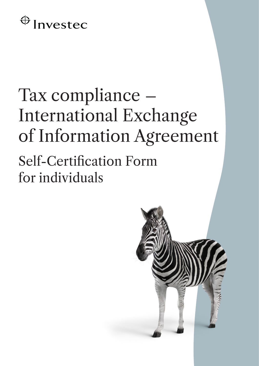## $\bigoplus$  Investec

## Tax compliance – International Exchange of Information Agreement

Self-Certification Form for individuals